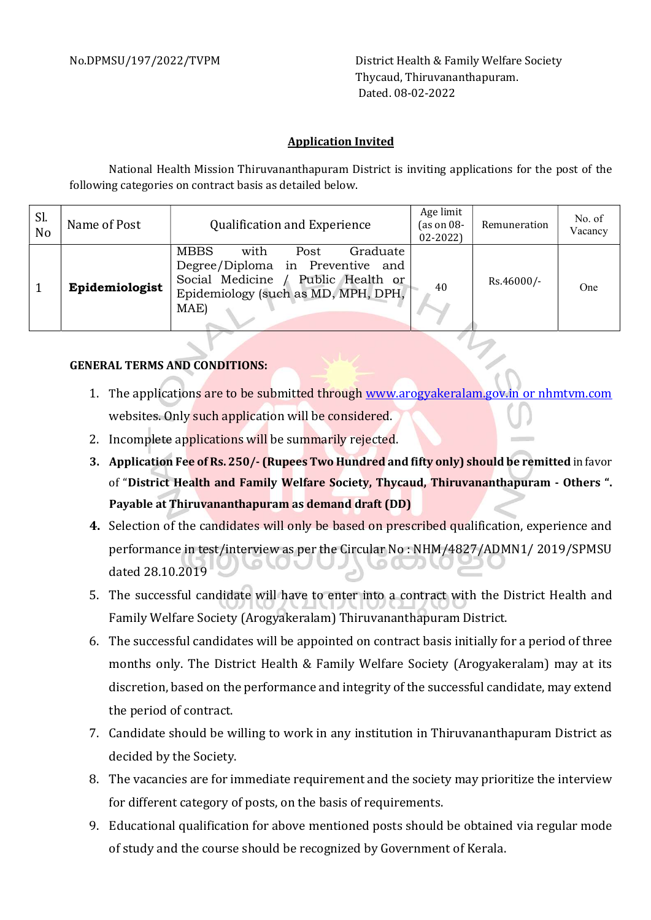No.DPMSU/197/2022/TVPM District Health & Family Welfare Society Thycaud, Thiruvananthapuram. Dated. 08-02-2022

## Application Invited

National Health Mission Thiruvananthapuram District is inviting applications for the post of the following categories on contract basis as detailed below.

| Sl.<br>No | Name of Post   | <b>Qualification and Experience</b>                                                                                                                                 | Age limit<br>(as on $08-$<br>$02 - 2022$ | Remuneration | No. of<br>Vacancy |
|-----------|----------------|---------------------------------------------------------------------------------------------------------------------------------------------------------------------|------------------------------------------|--------------|-------------------|
|           | Epidemiologist | <b>MBBS</b><br>with<br>Graduate<br>Post<br>Degree/Diploma in Preventive and<br>Social Medicine /<br>Public Health or<br>Epidemiology (such as MD, MPH, DPH,<br>MAE) | 40                                       | Rs.46000/-   | One               |

## GENERAL TERMS AND CONDITIONS:

- 1. The applications are to be submitted through www.arogyakeralam.gov.in or nhmtvm.com websites. Only such application will be considered.
- 2. Incomplete applications will be summarily rejected.
- 3. Application Fee of Rs. 250/- (Rupees Two Hundred and fifty only) should be remitted in favor of "District Health and Family Welfare Society, Thycaud, Thiruvananthapuram - Others ". Payable at Thiruvananthapuram as demand draft (DD)
- 4. Selection of the candidates will only be based on prescribed qualification, experience and performance in test/interview as per the Circular No : NHM/4827/ADMN1/ 2019/SPMSU dated 28.10.2019
- 5. The successful candidate will have to enter into a contract with the District Health and Family Welfare Society (Arogyakeralam) Thiruvananthapuram District.
- 6. The successful candidates will be appointed on contract basis initially for a period of three months only. The District Health & Family Welfare Society (Arogyakeralam) may at its discretion, based on the performance and integrity of the successful candidate, may extend the period of contract.
- 7. Candidate should be willing to work in any institution in Thiruvananthapuram District as decided by the Society.
- 8. The vacancies are for immediate requirement and the society may prioritize the interview for different category of posts, on the basis of requirements.
- 9. Educational qualification for above mentioned posts should be obtained via regular mode of study and the course should be recognized by Government of Kerala.